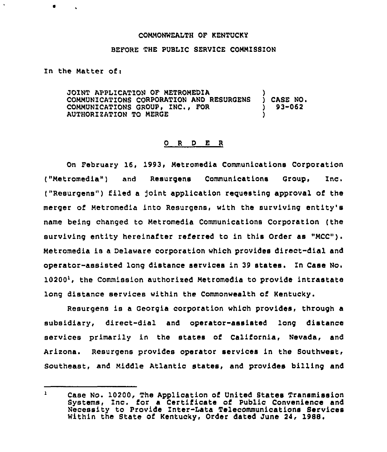## COMMONWEALTH OF KENTUCKY

## BEFORE THE PUBLIC SERVICE COMMISSION

In the Matter of:

JOINT APPLICATION OF METROMEDIA COMMUNICATIONS CORPORATION AND RESURGENS COMMUNICATIONS GROUP, INC., FOR AUTHORIZATION TO MERGE ) ) CASE NO <sup>~</sup> ) 93-062 )

## 0 R <sup>D</sup> E R

On February 16, 1993, Metromedia Communications Corporation ("Metromedia") and Resurgens Communications Group, Inc, ("Resurgens") filed a joint application requesting approval of the merger of Metromedia into Resurgens, with the surviving entity's name being changed to Metromedia Communications Corporation (the surviving entity hereinafter referred to in this Order as "MCC"). Metromedia is <sup>a</sup> Delaware corporation which provides direct-dial and operator-assisted long distance services in 39 states. In Casa No.  $10200<sup>1</sup>$ , the Commission authorized Metromedia to provide intrastate long distance services within the Commonwealth of Kentucky.

Resurgens is a Georgia corporation which provides, through a subsidiary, direct-dial and operator-assisted long distance services primarily in the states of California, Nevada, and Arizona. Resurgens provides operator services in the Southwest, Southeast, and Middle Atlantic states, and provides billing and

 $\mathbf{r}$ Case No. 10200, The Application of United States Transmission Systems, Znc. for a Certificate of Public Convenience and Necessity to Provide Inter-Lata Telecommunications Services Within the State of Kentucky, Order dated June 24, 1988.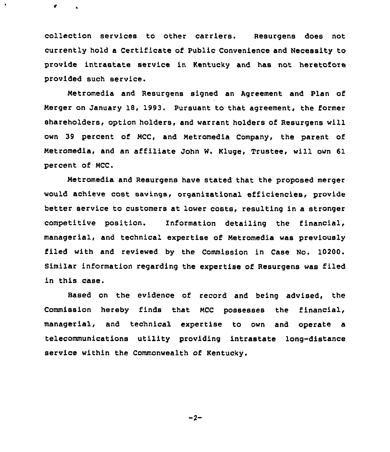collection services to other carriers. Resurgens does not currently hold a Certificate of Public Convenience and Necessity to provide intrastate service in Kentucky and has not heretofore provided such service.

 $\bullet$ 

Metromedia and Resurgens signed an Agreement and Plan of Merger on January 18, 1993. Pursuant to that agreement, the former shareholders, option holders, and warrant holders of Resurgens will own 39 percent of MCC, and Metromedia Company, the parent of Metromedia, and an affiliate John W. Kluge, Trustee, will own 61 percent of MCC.

Metromedia and Resurgens have stated that the proposed merger would achieve cost savings, organizational efficiencies, provide better service to customers at lower costs, resulting in a stronger competitive position. Information detailing the financial, managerial, and technical expertise of Metromedia was previously filed with and reviewed by the Commission in Case Mo. 10200. Similar information regarding the expertise of Resurgens was filed in this case.

Based on the evidence of record and being advised, the Commission hereby finds that MCC possesses the financial, managerial, and technical expertise to own and operate a telecommunications utility providing intrastate long-distance service within the Commonwealth of Kentucky.

 $-2-$